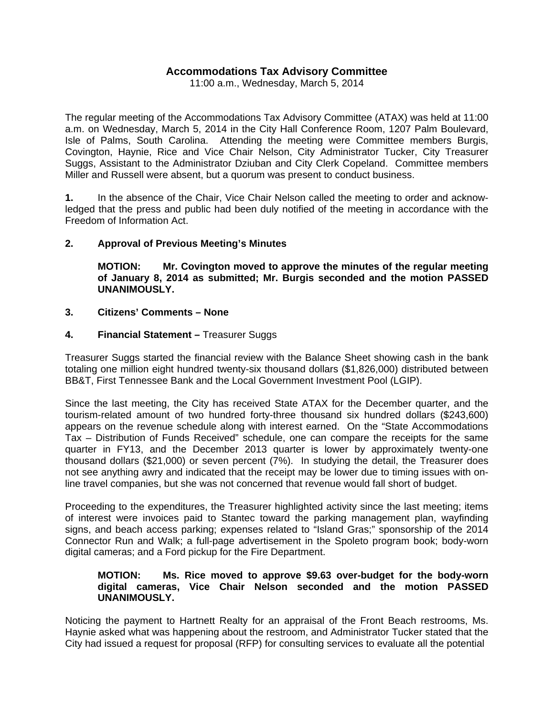# **Accommodations Tax Advisory Committee**

11:00 a.m., Wednesday, March 5, 2014

The regular meeting of the Accommodations Tax Advisory Committee (ATAX) was held at 11:00 a.m. on Wednesday, March 5, 2014 in the City Hall Conference Room, 1207 Palm Boulevard, Isle of Palms, South Carolina. Attending the meeting were Committee members Burgis, Covington, Haynie, Rice and Vice Chair Nelson, City Administrator Tucker, City Treasurer Suggs, Assistant to the Administrator Dziuban and City Clerk Copeland. Committee members Miller and Russell were absent, but a quorum was present to conduct business.

**1.** In the absence of the Chair, Vice Chair Nelson called the meeting to order and acknowledged that the press and public had been duly notified of the meeting in accordance with the Freedom of Information Act.

### **2. Approval of Previous Meeting's Minutes**

 **MOTION: Mr. Covington moved to approve the minutes of the regular meeting of January 8, 2014 as submitted; Mr. Burgis seconded and the motion PASSED UNANIMOUSLY.** 

#### **3. Citizens' Comments – None**

### **4. Financial Statement –** Treasurer Suggs

Treasurer Suggs started the financial review with the Balance Sheet showing cash in the bank totaling one million eight hundred twenty-six thousand dollars (\$1,826,000) distributed between BB&T, First Tennessee Bank and the Local Government Investment Pool (LGIP).

Since the last meeting, the City has received State ATAX for the December quarter, and the tourism-related amount of two hundred forty-three thousand six hundred dollars (\$243,600) appears on the revenue schedule along with interest earned. On the "State Accommodations Tax – Distribution of Funds Received" schedule, one can compare the receipts for the same quarter in FY13, and the December 2013 quarter is lower by approximately twenty-one thousand dollars (\$21,000) or seven percent (7%). In studying the detail, the Treasurer does not see anything awry and indicated that the receipt may be lower due to timing issues with online travel companies, but she was not concerned that revenue would fall short of budget.

Proceeding to the expenditures, the Treasurer highlighted activity since the last meeting; items of interest were invoices paid to Stantec toward the parking management plan, wayfinding signs, and beach access parking; expenses related to "Island Gras;" sponsorship of the 2014 Connector Run and Walk; a full-page advertisement in the Spoleto program book; body-worn digital cameras; and a Ford pickup for the Fire Department.

### **MOTION: Ms. Rice moved to approve \$9.63 over-budget for the body-worn digital cameras, Vice Chair Nelson seconded and the motion PASSED UNANIMOUSLY.**

Noticing the payment to Hartnett Realty for an appraisal of the Front Beach restrooms, Ms. Haynie asked what was happening about the restroom, and Administrator Tucker stated that the City had issued a request for proposal (RFP) for consulting services to evaluate all the potential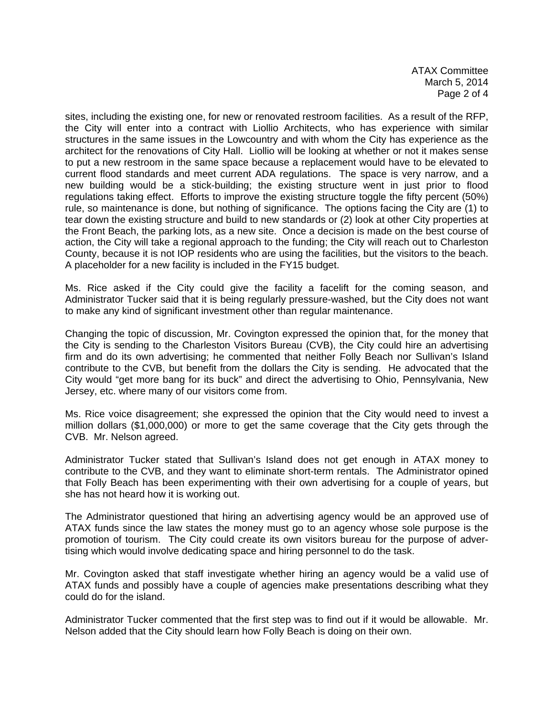ATAX Committee March 5, 2014 Page 2 of 4

sites, including the existing one, for new or renovated restroom facilities. As a result of the RFP, the City will enter into a contract with Liollio Architects, who has experience with similar structures in the same issues in the Lowcountry and with whom the City has experience as the architect for the renovations of City Hall. Liollio will be looking at whether or not it makes sense to put a new restroom in the same space because a replacement would have to be elevated to current flood standards and meet current ADA regulations. The space is very narrow, and a new building would be a stick-building; the existing structure went in just prior to flood regulations taking effect. Efforts to improve the existing structure toggle the fifty percent (50%) rule, so maintenance is done, but nothing of significance. The options facing the City are (1) to tear down the existing structure and build to new standards or (2) look at other City properties at the Front Beach, the parking lots, as a new site. Once a decision is made on the best course of action, the City will take a regional approach to the funding; the City will reach out to Charleston County, because it is not IOP residents who are using the facilities, but the visitors to the beach. A placeholder for a new facility is included in the FY15 budget.

Ms. Rice asked if the City could give the facility a facelift for the coming season, and Administrator Tucker said that it is being regularly pressure-washed, but the City does not want to make any kind of significant investment other than regular maintenance.

Changing the topic of discussion, Mr. Covington expressed the opinion that, for the money that the City is sending to the Charleston Visitors Bureau (CVB), the City could hire an advertising firm and do its own advertising; he commented that neither Folly Beach nor Sullivan's Island contribute to the CVB, but benefit from the dollars the City is sending. He advocated that the City would "get more bang for its buck" and direct the advertising to Ohio, Pennsylvania, New Jersey, etc. where many of our visitors come from.

Ms. Rice voice disagreement; she expressed the opinion that the City would need to invest a million dollars (\$1,000,000) or more to get the same coverage that the City gets through the CVB. Mr. Nelson agreed.

Administrator Tucker stated that Sullivan's Island does not get enough in ATAX money to contribute to the CVB, and they want to eliminate short-term rentals. The Administrator opined that Folly Beach has been experimenting with their own advertising for a couple of years, but she has not heard how it is working out.

The Administrator questioned that hiring an advertising agency would be an approved use of ATAX funds since the law states the money must go to an agency whose sole purpose is the promotion of tourism. The City could create its own visitors bureau for the purpose of advertising which would involve dedicating space and hiring personnel to do the task.

Mr. Covington asked that staff investigate whether hiring an agency would be a valid use of ATAX funds and possibly have a couple of agencies make presentations describing what they could do for the island.

Administrator Tucker commented that the first step was to find out if it would be allowable. Mr. Nelson added that the City should learn how Folly Beach is doing on their own.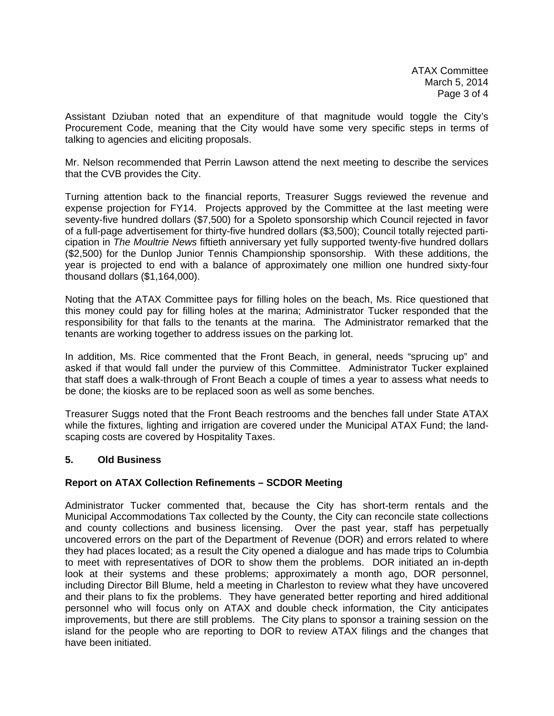Assistant Dziuban noted that an expenditure of that magnitude would toggle the City's Procurement Code, meaning that the City would have some very specific steps in terms of talking to agencies and eliciting proposals.

Mr. Nelson recommended that Perrin Lawson attend the next meeting to describe the services that the CVB provides the City.

Turning attention back to the financial reports, Treasurer Suggs reviewed the revenue and expense projection for FY14. Projects approved by the Committee at the last meeting were seventy-five hundred dollars (\$7,500) for a Spoleto sponsorship which Council rejected in favor of a full-page advertisement for thirty-five hundred dollars (\$3,500); Council totally rejected participation in *The Moultrie News* fiftieth anniversary yet fully supported twenty-five hundred dollars (\$2,500) for the Dunlop Junior Tennis Championship sponsorship. With these additions, the year is projected to end with a balance of approximately one million one hundred sixty-four thousand dollars (\$1,164,000).

Noting that the ATAX Committee pays for filling holes on the beach, Ms. Rice questioned that this money could pay for filling holes at the marina; Administrator Tucker responded that the responsibility for that falls to the tenants at the marina. The Administrator remarked that the tenants are working together to address issues on the parking lot.

In addition, Ms. Rice commented that the Front Beach, in general, needs "sprucing up" and asked if that would fall under the purview of this Committee. Administrator Tucker explained that staff does a walk-through of Front Beach a couple of times a year to assess what needs to be done; the kiosks are to be replaced soon as well as some benches.

Treasurer Suggs noted that the Front Beach restrooms and the benches fall under State ATAX while the fixtures, lighting and irrigation are covered under the Municipal ATAX Fund; the landscaping costs are covered by Hospitality Taxes.

#### **5. Old Business**

#### **Report on ATAX Collection Refinements – SCDOR Meeting**

Administrator Tucker commented that, because the City has short-term rentals and the Municipal Accommodations Tax collected by the County, the City can reconcile state collections and county collections and business licensing. Over the past year, staff has perpetually uncovered errors on the part of the Department of Revenue (DOR) and errors related to where they had places located; as a result the City opened a dialogue and has made trips to Columbia to meet with representatives of DOR to show them the problems. DOR initiated an in-depth look at their systems and these problems; approximately a month ago, DOR personnel, including Director Bill Blume, held a meeting in Charleston to review what they have uncovered and their plans to fix the problems. They have generated better reporting and hired additional personnel who will focus only on ATAX and double check information, the City anticipates improvements, but there are still problems. The City plans to sponsor a training session on the island for the people who are reporting to DOR to review ATAX filings and the changes that have been initiated.